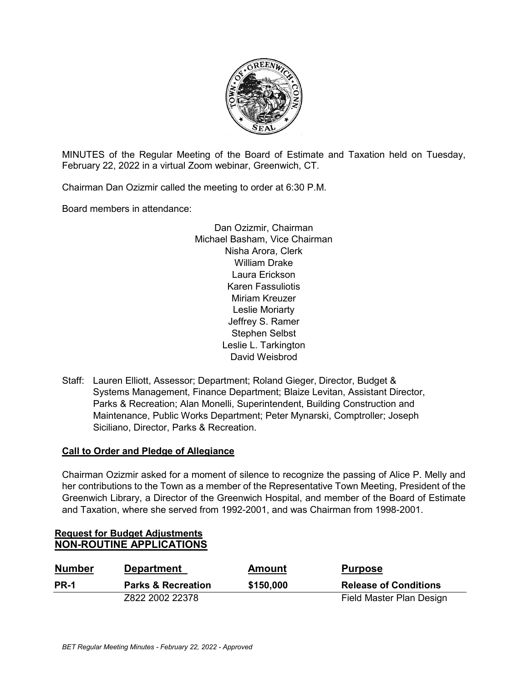

MINUTES of the Regular Meeting of the Board of Estimate and Taxation held on Tuesday, February 22, 2022 in a virtual Zoom webinar, Greenwich, CT.

Chairman Dan Ozizmir called the meeting to order at 6:30 P.M.

Board members in attendance:

Dan Ozizmir, Chairman Michael Basham, Vice Chairman Nisha Arora, Clerk William Drake Laura Erickson Karen Fassuliotis Miriam Kreuzer Leslie Moriarty Jeffrey S. Ramer Stephen Selbst Leslie L. Tarkington David Weisbrod

Staff: Lauren Elliott, Assessor; Department; Roland Gieger, Director, Budget & Systems Management, Finance Department; Blaize Levitan, Assistant Director, Parks & Recreation; Alan Monelli, Superintendent, Building Construction and Maintenance, Public Works Department; Peter Mynarski, Comptroller; Joseph Siciliano, Director, Parks & Recreation.

## **Call to Order and Pledge of Allegiance**

Chairman Ozizmir asked for a moment of silence to recognize the passing of Alice P. Melly and her contributions to the Town as a member of the Representative Town Meeting, President of the Greenwich Library, a Director of the Greenwich Hospital, and member of the Board of Estimate and Taxation, where she served from 1992-2001, and was Chairman from 1998-2001.

## **Request for Budget Adjustments NON-ROUTINE APPLICATIONS**

| <b>Number</b> | <b>Department</b>             | <b>Amount</b> | <b>Purpose</b>               |
|---------------|-------------------------------|---------------|------------------------------|
| <b>PR-1</b>   | <b>Parks &amp; Recreation</b> | \$150,000     | <b>Release of Conditions</b> |
|               | Z822 2002 22378               |               | Field Master Plan Design     |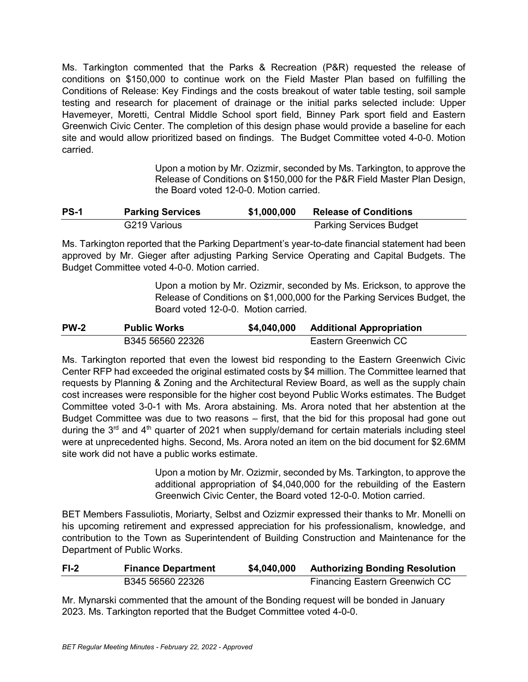Ms. Tarkington commented that the Parks & Recreation (P&R) requested the release of conditions on \$150,000 to continue work on the Field Master Plan based on fulfilling the Conditions of Release: Key Findings and the costs breakout of water table testing, soil sample testing and research for placement of drainage or the initial parks selected include: Upper Havemeyer, Moretti, Central Middle School sport field, Binney Park sport field and Eastern Greenwich Civic Center. The completion of this design phase would provide a baseline for each site and would allow prioritized based on findings. The Budget Committee voted 4-0-0. Motion carried.

> Upon a motion by Mr. Ozizmir, seconded by Ms. Tarkington, to approve the Release of Conditions on \$150,000 for the P&R Field Master Plan Design, the Board voted 12-0-0. Motion carried.

**PS-1 Parking Services \$1,000,000 Release of Conditions** G219 Various **Parking Services Budget** 

Ms. Tarkington reported that the Parking Department's year-to-date financial statement had been approved by Mr. Gieger after adjusting Parking Service Operating and Capital Budgets. The Budget Committee voted 4-0-0. Motion carried.

> Upon a motion by Mr. Ozizmir, seconded by Ms. Erickson, to approve the Release of Conditions on \$1,000,000 for the Parking Services Budget, the Board voted 12-0-0. Motion carried.

| <b>PW-2</b> | <b>Public Works</b> | \$4,040,000 | <b>Additional Appropriation</b> |
|-------------|---------------------|-------------|---------------------------------|
|             | B345 56560 22326    |             | Eastern Greenwich CC            |

Ms. Tarkington reported that even the lowest bid responding to the Eastern Greenwich Civic Center RFP had exceeded the original estimated costs by \$4 million. The Committee learned that requests by Planning & Zoning and the Architectural Review Board, as well as the supply chain cost increases were responsible for the higher cost beyond Public Works estimates. The Budget Committee voted 3-0-1 with Ms. Arora abstaining. Ms. Arora noted that her abstention at the Budget Committee was due to two reasons – first, that the bid for this proposal had gone out during the  $3<sup>rd</sup>$  and  $4<sup>th</sup>$  quarter of 2021 when supply/demand for certain materials including steel were at unprecedented highs. Second, Ms. Arora noted an item on the bid document for \$2.6MM site work did not have a public works estimate.

> Upon a motion by Mr. Ozizmir, seconded by Ms. Tarkington, to approve the additional appropriation of \$4,040,000 for the rebuilding of the Eastern Greenwich Civic Center, the Board voted 12-0-0. Motion carried.

BET Members Fassuliotis, Moriarty, Selbst and Ozizmir expressed their thanks to Mr. Monelli on his upcoming retirement and expressed appreciation for his professionalism, knowledge, and contribution to the Town as Superintendent of Building Construction and Maintenance for the Department of Public Works.

| $F1-2$ | <b>Finance Department</b> | \$4,040,000 | <b>Authorizing Bonding Resolution</b> |
|--------|---------------------------|-------------|---------------------------------------|
|        | B345 56560 22326          |             | <b>Financing Eastern Greenwich CC</b> |

Mr. Mynarski commented that the amount of the Bonding request will be bonded in January 2023. Ms. Tarkington reported that the Budget Committee voted 4-0-0.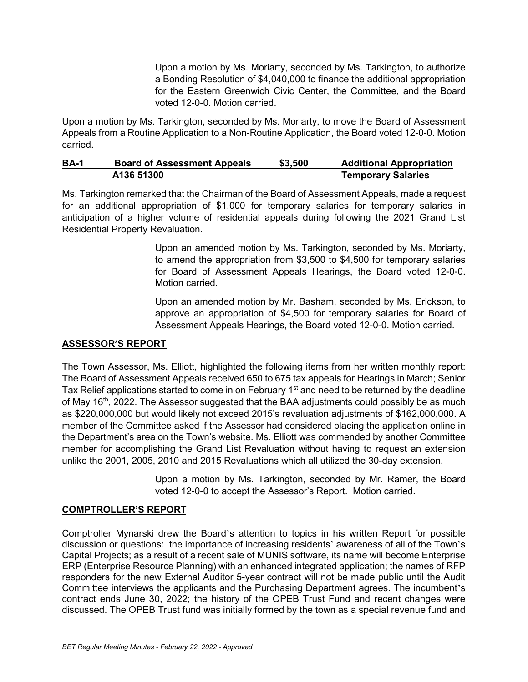Upon a motion by Ms. Moriarty, seconded by Ms. Tarkington, to authorize a Bonding Resolution of \$4,040,000 to finance the additional appropriation for the Eastern Greenwich Civic Center, the Committee, and the Board voted 12-0-0. Motion carried.

Upon a motion by Ms. Tarkington, seconded by Ms. Moriarty, to move the Board of Assessment Appeals from a Routine Application to a Non-Routine Application, the Board voted 12-0-0. Motion carried.

# **BA-1 Board of Assessment Appeals \$3,500 Additional Appropriation A136 51300 Temporary Salaries**

Ms. Tarkington remarked that the Chairman of the Board of Assessment Appeals, made a request for an additional appropriation of \$1,000 for temporary salaries for temporary salaries in anticipation of a higher volume of residential appeals during following the 2021 Grand List Residential Property Revaluation.

> Upon an amended motion by Ms. Tarkington, seconded by Ms. Moriarty, to amend the appropriation from \$3,500 to \$4,500 for temporary salaries for Board of Assessment Appeals Hearings, the Board voted 12-0-0. Motion carried.

> Upon an amended motion by Mr. Basham, seconded by Ms. Erickson, to approve an appropriation of \$4,500 for temporary salaries for Board of Assessment Appeals Hearings, the Board voted 12-0-0. Motion carried.

## **ASSESSOR'S REPORT**

The Town Assessor, Ms. Elliott, highlighted the following items from her written monthly report: The Board of Assessment Appeals received 650 to 675 tax appeals for Hearings in March; Senior Tax Relief applications started to come in on February 1<sup>st</sup> and need to be returned by the deadline of May 16<sup>th</sup>, 2022. The Assessor suggested that the BAA adjustments could possibly be as much as \$220,000,000 but would likely not exceed 2015's revaluation adjustments of \$162,000,000. A member of the Committee asked if the Assessor had considered placing the application online in the Department's area on the Town's website. Ms. Elliott was commended by another Committee member for accomplishing the Grand List Revaluation without having to request an extension unlike the 2001, 2005, 2010 and 2015 Revaluations which all utilized the 30-day extension.

> Upon a motion by Ms. Tarkington, seconded by Mr. Ramer, the Board voted 12-0-0 to accept the Assessor's Report. Motion carried.

# **COMPTROLLER'S REPORT**

Comptroller Mynarski drew the Board's attention to topics in his written Report for possible discussion or questions: the importance of increasing residents' awareness of all of the Town's Capital Projects; as a result of a recent sale of MUNIS software, its name will become Enterprise ERP (Enterprise Resource Planning) with an enhanced integrated application; the names of RFP responders for the new External Auditor 5-year contract will not be made public until the Audit Committee interviews the applicants and the Purchasing Department agrees. The incumbent's contract ends June 30, 2022; the history of the OPEB Trust Fund and recent changes were discussed. The OPEB Trust fund was initially formed by the town as a special revenue fund and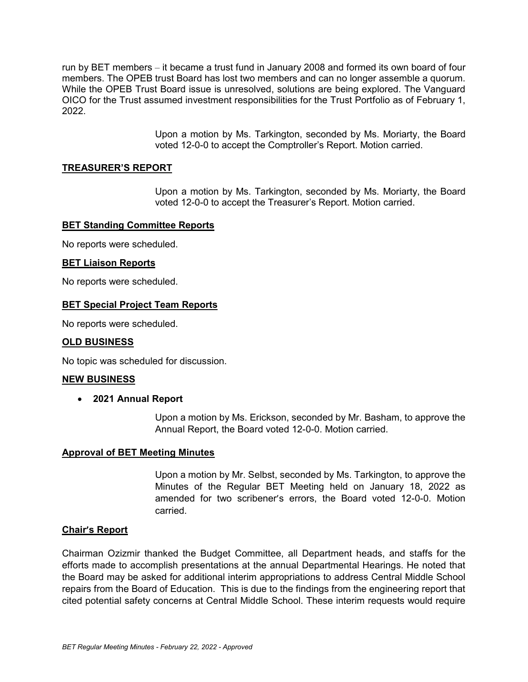run by BET members – it became a trust fund in January 2008 and formed its own board of four members. The OPEB trust Board has lost two members and can no longer assemble a quorum. While the OPEB Trust Board issue is unresolved, solutions are being explored. The Vanguard OICO for the Trust assumed investment responsibilities for the Trust Portfolio as of February 1, 2022.

> Upon a motion by Ms. Tarkington, seconded by Ms. Moriarty, the Board voted 12-0-0 to accept the Comptroller's Report. Motion carried.

## **TREASURER'S REPORT**

Upon a motion by Ms. Tarkington, seconded by Ms. Moriarty, the Board voted 12-0-0 to accept the Treasurer's Report. Motion carried.

## **BET Standing Committee Reports**

No reports were scheduled.

### **BET Liaison Reports**

No reports were scheduled.

## **BET Special Project Team Reports**

No reports were scheduled.

### **OLD BUSINESS**

No topic was scheduled for discussion.

### **NEW BUSINESS**

### • **2021 Annual Report**

Upon a motion by Ms. Erickson, seconded by Mr. Basham, to approve the Annual Report, the Board voted 12-0-0. Motion carried.

### **Approval of BET Meeting Minutes**

Upon a motion by Mr. Selbst, seconded by Ms. Tarkington, to approve the Minutes of the Regular BET Meeting held on January 18, 2022 as amended for two scribener's errors, the Board voted 12-0-0. Motion carried.

### **Chair's Report**

Chairman Ozizmir thanked the Budget Committee, all Department heads, and staffs for the efforts made to accomplish presentations at the annual Departmental Hearings. He noted that the Board may be asked for additional interim appropriations to address Central Middle School repairs from the Board of Education. This is due to the findings from the engineering report that cited potential safety concerns at Central Middle School. These interim requests would require